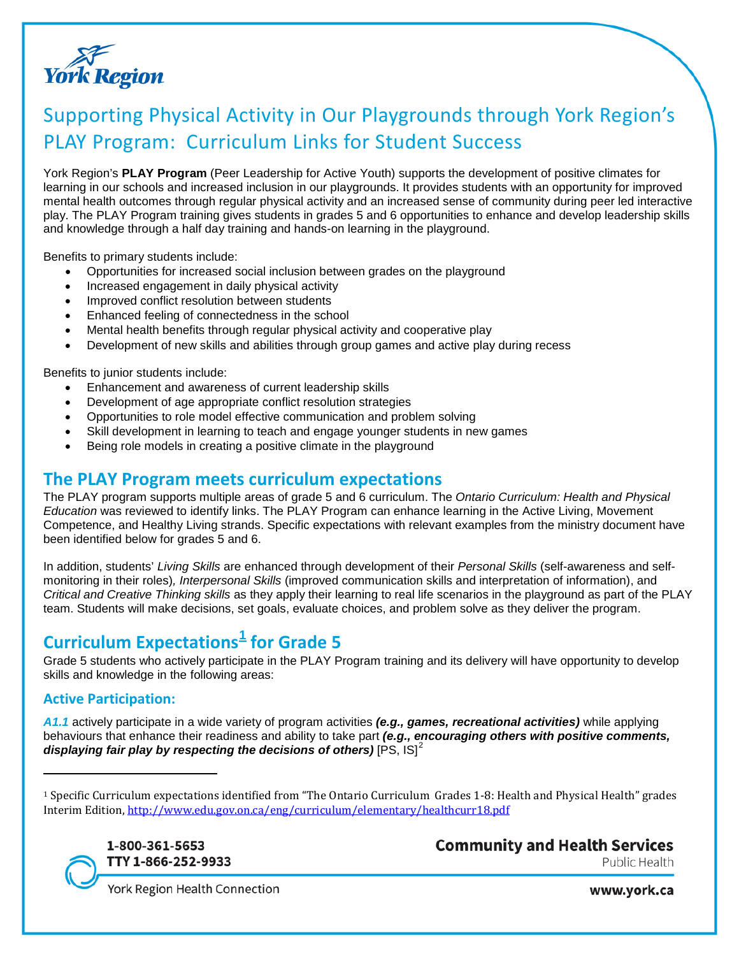

# Supporting Physical Activity in Our Playgrounds through York Region's PLAY Program: Curriculum Links for Student Success

York Region's **PLAY Program** (Peer Leadership for Active Youth) supports the development of positive climates for learning in our schools and increased inclusion in our playgrounds. It provides students with an opportunity for improved mental health outcomes through regular physical activity and an increased sense of community during peer led interactive play. The PLAY Program training gives students in grades 5 and 6 opportunities to enhance and develop leadership skills and knowledge through a half day training and hands-on learning in the playground.

Benefits to primary students include:

- Opportunities for increased social inclusion between grades on the playground
- Increased engagement in daily physical activity
- Improved conflict resolution between students
- Enhanced feeling of connectedness in the school
- Mental health benefits through regular physical activity and cooperative play
- Development of new skills and abilities through group games and active play during recess

Benefits to junior students include:

- Enhancement and awareness of current leadership skills
- Development of age appropriate conflict resolution strategies
- Opportunities to role model effective communication and problem solving
- Skill development in learning to teach and engage younger students in new games
- Being role models in creating a positive climate in the playground

### **The PLAY Program meets curriculum expectations**

The PLAY program supports multiple areas of grade 5 and 6 curriculum. The *Ontario Curriculum: Health and Physical Education* was reviewed to identify links. The PLAY Program can enhance learning in the Active Living, Movement Competence, and Healthy Living strands. Specific expectations with relevant examples from the ministry document have been identified below for grades 5 and 6.

In addition, students' *Living Skills* are enhanced through development of their *Personal Skills* (self-awareness and selfmonitoring in their roles)*, Interpersonal Skills* (improved communication skills and interpretation of information), and *Critical and Creative Thinking skills* as they apply their learning to real life scenarios in the playground as part of the PLAY team. Students will make decisions, set goals, evaluate choices, and problem solve as they deliver the program.

# **Curriculum Expectations[1](#page-0-0) for Grade 5**

Grade 5 students who actively participate in the PLAY Program training and its delivery will have opportunity to develop skills and knowledge in the following areas:

#### **Active Participation:**

 $\overline{a}$ 

*A1.1* actively participate in a wide variety of program activities *(e.g., games, recreational activities)* while applying behaviours that enhance their readiness and ability to take part *(e.g., encouraging others with positive comments, displaying fair play by respecting the decisions of others)* [PS, IS]<sup>[2](#page-0-1)</sup>

<span id="page-0-1"></span><span id="page-0-0"></span><sup>1</sup> Specific Curriculum expectations identified from "The Ontario Curriculum Grades 1-8: Health and Physical Health" grades Interim Edition,<http://www.edu.gov.on.ca/eng/curriculum/elementary/healthcurr18.pdf>



**Community and Health Services** Public Health

York Region Health Connection

www.york.ca